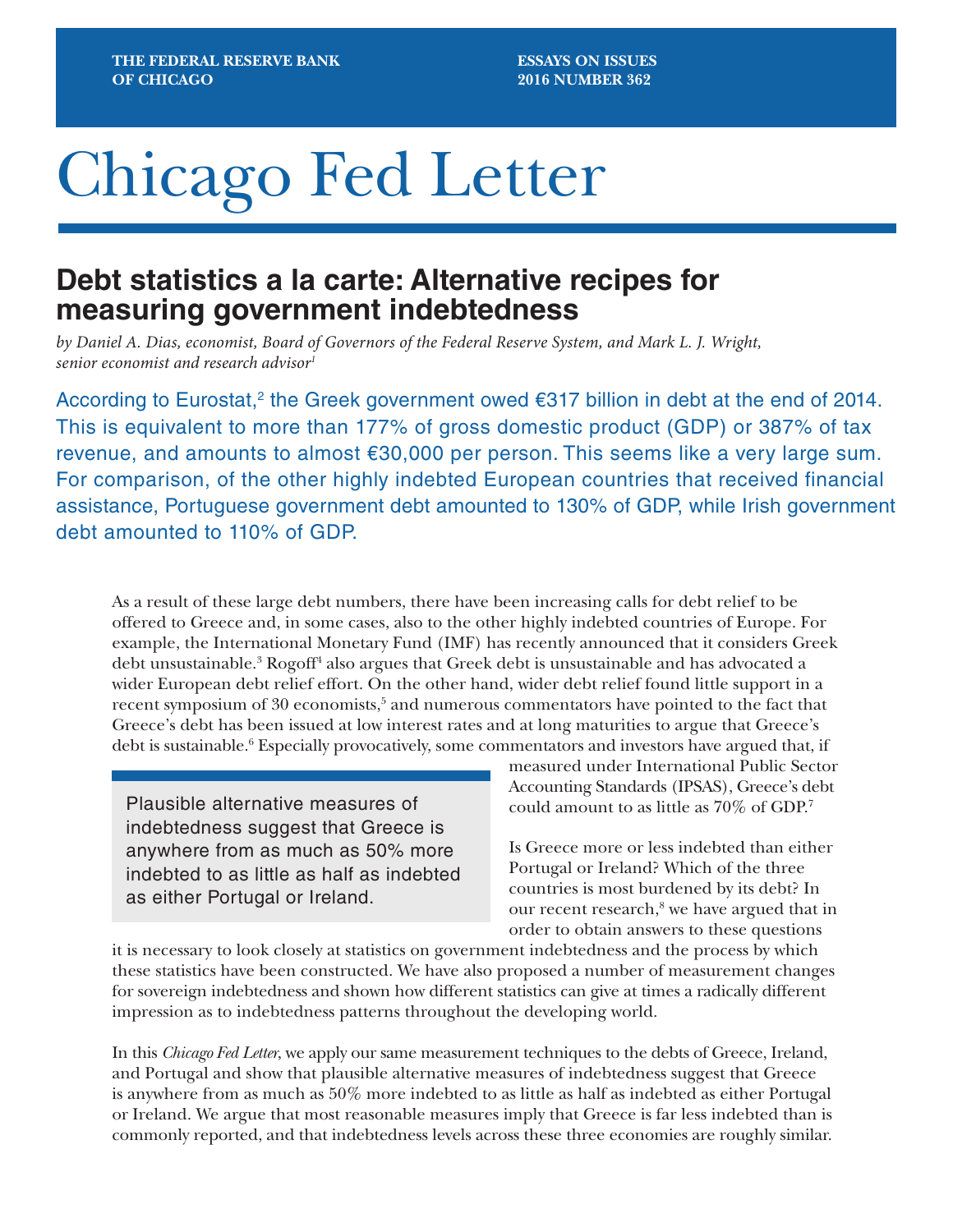**ESSAYS ON ISSUES 2016 NUMBER 362**

# Chicago Fed Letter

## **Debt statistics a la carte: Alternative recipes for measuring government indebtedness**

*by Daniel A. Dias, economist, Board of Governors of the Federal Reserve System, and Mark L. J. Wright, senior economist and research advisor1*

According to Eurostat,<sup>2</sup> the Greek government owed €317 billion in debt at the end of 2014. This is equivalent to more than 177% of gross domestic product (GDP) or 387% of tax revenue, and amounts to almost €30,000 per person. This seems like a very large sum. For comparison, of the other highly indebted European countries that received financial assistance, Portuguese government debt amounted to 130% of GDP, while Irish government debt amounted to 110% of GDP.

As a result of these large debt numbers, there have been increasing calls for debt relief to be offered to Greece and, in some cases, also to the other highly indebted countries of Europe. For example, the International Monetary Fund (IMF) has recently announced that it considers Greek debt unsustainable.<sup>3</sup> Rogoff<sup>4</sup> also argues that Greek debt is unsustainable and has advocated a wider European debt relief effort. On the other hand, wider debt relief found little support in a recent symposium of 30 economists,<sup>5</sup> and numerous commentators have pointed to the fact that Greece's debt has been issued at low interest rates and at long maturities to argue that Greece's debt is sustainable.<sup>6</sup> Especially provocatively, some commentators and investors have argued that, if

Plausible alternative measures of indebtedness suggest that Greece is anywhere from as much as 50% more indebted to as little as half as indebted as either Portugal or Ireland.

measured under International Public Sector Accounting Standards (IPSAS), Greece's debt could amount to as little as 70% of GDP.7

Is Greece more or less indebted than either Portugal or Ireland? Which of the three countries is most burdened by its debt? In our recent research,<sup>8</sup> we have argued that in order to obtain answers to these questions

it is necessary to look closely at statistics on government indebtedness and the process by which these statistics have been constructed. We have also proposed a number of measurement changes for sovereign indebtedness and shown how different statistics can give at times a radically different impression as to indebtedness patterns throughout the developing world.

In this *Chicago Fed Letter*, we apply our same measurement techniques to the debts of Greece, Ireland, and Portugal and show that plausible alternative measures of indebtedness suggest that Greece is anywhere from as much as 50% more indebted to as little as half as indebted as either Portugal or Ireland. We argue that most reasonable measures imply that Greece is far less indebted than is commonly reported, and that indebtedness levels across these three economies are roughly similar.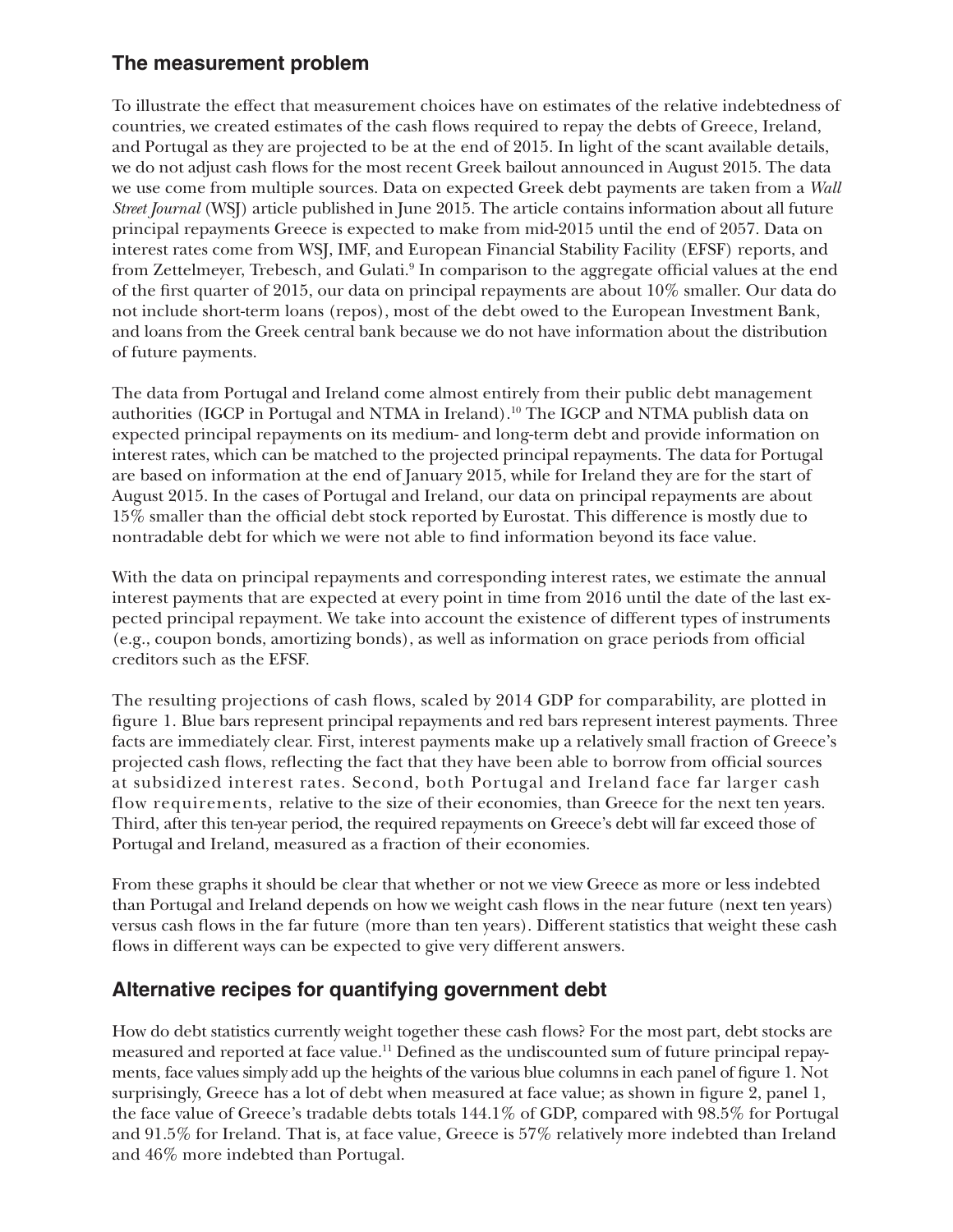## **The measurement problem**

To illustrate the effect that measurement choices have on estimates of the relative indebtedness of countries, we created estimates of the cash flows required to repay the debts of Greece, Ireland, and Portugal as they are projected to be at the end of 2015. In light of the scant available details, we do not adjust cash flows for the most recent Greek bailout announced in August 2015. The data we use come from multiple sources. Data on expected Greek debt payments are taken from a *Wall Street Journal* (WSJ) article published in June 2015. The article contains information about all future principal repayments Greece is expected to make from mid-2015 until the end of 2057. Data on interest rates come from WSJ, IMF, and European Financial Stability Facility (EFSF) reports, and from Zettelmeyer, Trebesch, and Gulati.<sup>9</sup> In comparison to the aggregate official values at the end of the first quarter of 2015, our data on principal repayments are about 10% smaller. Our data do not include short-term loans (repos), most of the debt owed to the European Investment Bank, and loans from the Greek central bank because we do not have information about the distribution of future payments.

The data from Portugal and Ireland come almost entirely from their public debt management authorities (IGCP in Portugal and NTMA in Ireland).10 The IGCP and NTMA publish data on expected principal repayments on its medium- and long-term debt and provide information on interest rates, which can be matched to the projected principal repayments. The data for Portugal are based on information at the end of January 2015, while for Ireland they are for the start of August 2015. In the cases of Portugal and Ireland, our data on principal repayments are about 15% smaller than the official debt stock reported by Eurostat. This difference is mostly due to nontradable debt for which we were not able to find information beyond its face value.

With the data on principal repayments and corresponding interest rates, we estimate the annual interest payments that are expected at every point in time from 2016 until the date of the last expected principal repayment. We take into account the existence of different types of instruments (e.g., coupon bonds, amortizing bonds), as well as information on grace periods from official creditors such as the EFSF.

The resulting projections of cash flows, scaled by 2014 GDP for comparability, are plotted in figure 1. Blue bars represent principal repayments and red bars represent interest payments. Three facts are immediately clear. First, interest payments make up a relatively small fraction of Greece's projected cash flows, reflecting the fact that they have been able to borrow from official sources at subsidized interest rates. Second, both Portugal and Ireland face far larger cash flow requirements, relative to the size of their economies, than Greece for the next ten years. Third, after this ten-year period, the required repayments on Greece's debt will far exceed those of Portugal and Ireland, measured as a fraction of their economies.

From these graphs it should be clear that whether or not we view Greece as more or less indebted than Portugal and Ireland depends on how we weight cash flows in the near future (next ten years) versus cash flows in the far future (more than ten years). Different statistics that weight these cash flows in different ways can be expected to give very different answers.

## **Alternative recipes for quantifying government debt**

How do debt statistics currently weight together these cash flows? For the most part, debt stocks are measured and reported at face value.<sup>11</sup> Defined as the undiscounted sum of future principal repayments, face values simply add up the heights of the various blue columns in each panel of figure 1. Not surprisingly, Greece has a lot of debt when measured at face value; as shown in figure 2, panel 1, the face value of Greece's tradable debts totals 144.1% of GDP, compared with 98.5% for Portugal and 91.5% for Ireland. That is, at face value, Greece is 57% relatively more indebted than Ireland and 46% more indebted than Portugal.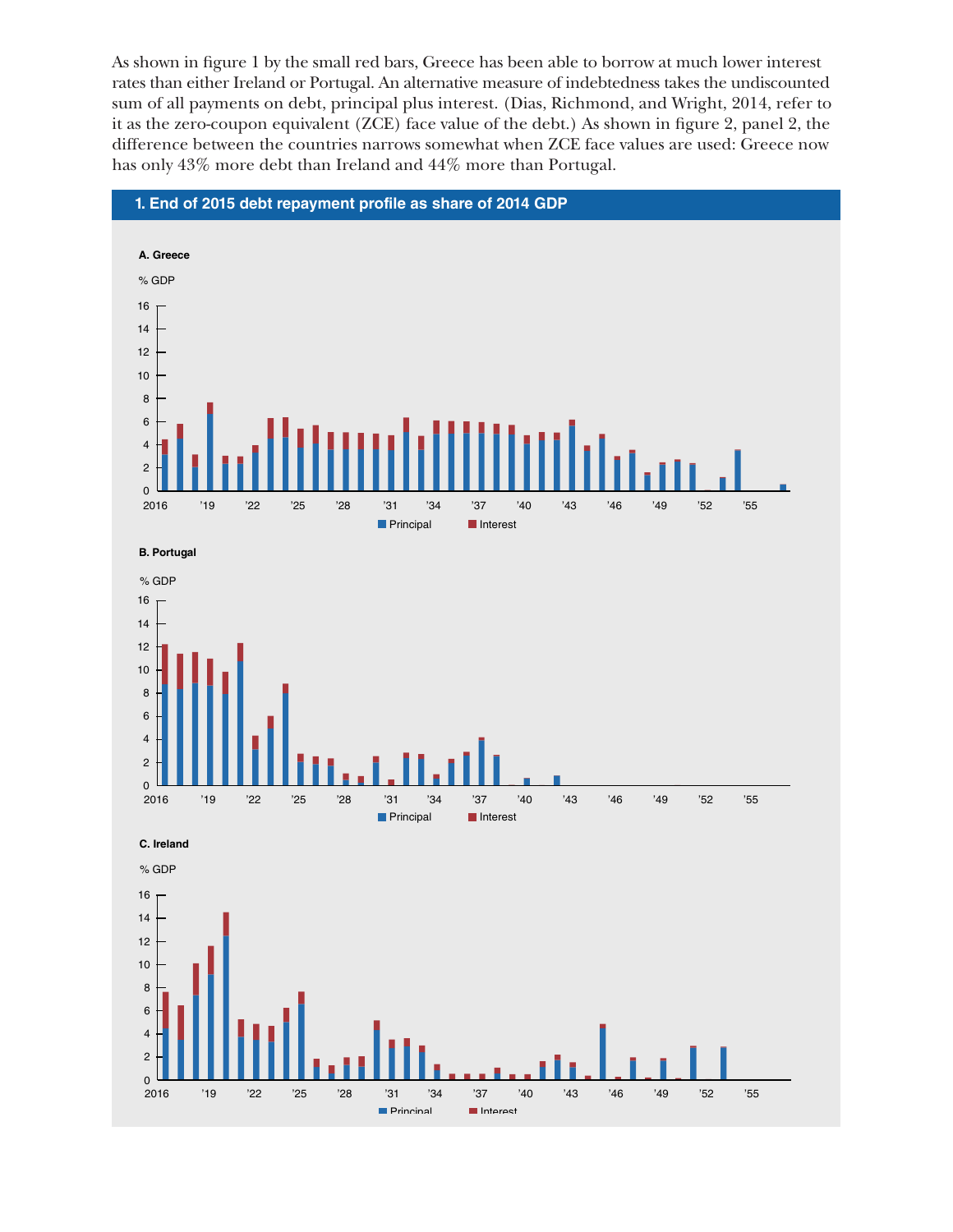As shown in figure 1 by the small red bars, Greece has been able to borrow at much lower interest rates than either Ireland or Portugal. An alternative measure of indebtedness takes the undiscounted sum of all payments on debt, principal plus interest. (Dias, Richmond, and Wright, 2014, refer to it as the zero-coupon equivalent (ZCE) face value of the debt.) As shown in figure 2, panel 2, the difference between the countries narrows somewhat when ZCE face values are used: Greece now has only 43% more debt than Ireland and 44% more than Portugal.



**B. Portugal**



 $\frac{1}{2016}$  **C. Ireland Principal** Interest % GDP '19 '22 '25 '28 '31 '34 '37 '40 '43 '46 '49 '52 '55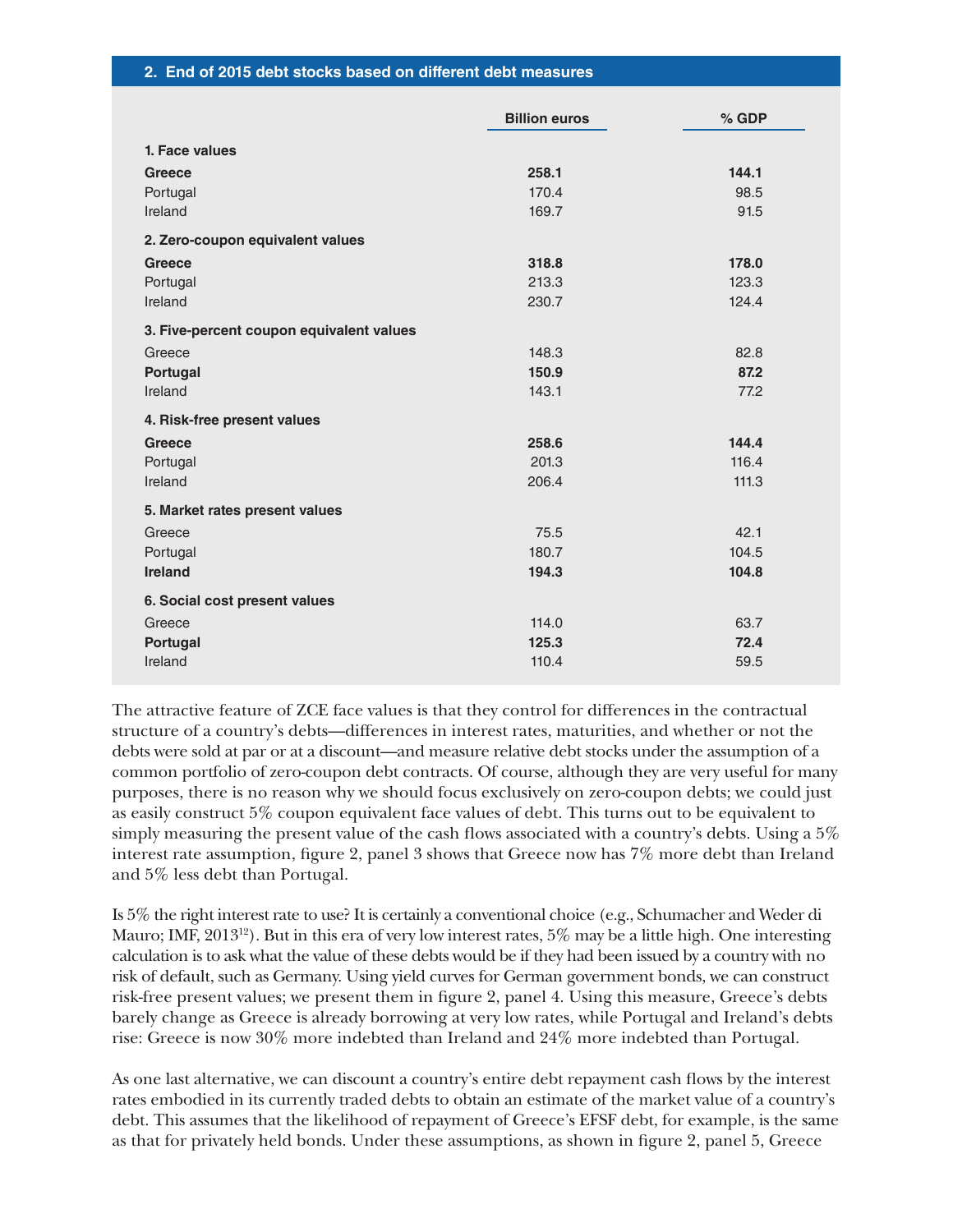#### **2. End of 2015 debt stocks based on different debt measures**

|                                          | <b>Billion euros</b> | % GDP |
|------------------------------------------|----------------------|-------|
| 1. Face values                           |                      |       |
| Greece                                   | 258.1                | 144.1 |
| Portugal                                 | 170.4                | 98.5  |
| Ireland                                  | 169.7                | 91.5  |
| 2. Zero-coupon equivalent values         |                      |       |
| <b>Greece</b>                            | 318.8                | 178.0 |
| Portugal                                 | 213.3                | 123.3 |
| Ireland                                  | 230.7                | 124.4 |
| 3. Five-percent coupon equivalent values |                      |       |
| Greece                                   | 148.3                | 82.8  |
| Portugal                                 | 150.9                | 87.2  |
| Ireland                                  | 143.1                | 77.2  |
| 4. Risk-free present values              |                      |       |
| Greece                                   | 258.6                | 144.4 |
| Portugal                                 | 201.3                | 116.4 |
| Ireland                                  | 206.4                | 111.3 |
| 5. Market rates present values           |                      |       |
| Greece                                   | 75.5                 | 42.1  |
| Portugal                                 | 180.7                | 104.5 |
| Ireland                                  | 194.3                | 104.8 |
| 6. Social cost present values            |                      |       |
| Greece                                   | 114.0                | 63.7  |
| Portugal                                 | 125.3                | 72.4  |
| Ireland                                  | 110.4                | 59.5  |

The attractive feature of ZCE face values is that they control for differences in the contractual structure of a country's debts—differences in interest rates, maturities, and whether or not the debts were sold at par or at a discount—and measure relative debt stocks under the assumption of a common portfolio of zero-coupon debt contracts. Of course, although they are very useful for many purposes, there is no reason why we should focus exclusively on zero-coupon debts; we could just as easily construct 5% coupon equivalent face values of debt. This turns out to be equivalent to simply measuring the present value of the cash flows associated with a country's debts. Using a 5% interest rate assumption, figure 2, panel 3 shows that Greece now has 7% more debt than Ireland and 5% less debt than Portugal.

Is 5% the right interest rate to use? It is certainly a conventional choice (e.g., Schumacher and Weder di Mauro; IMF, 2013<sup>12</sup>). But in this era of very low interest rates,  $5\%$  may be a little high. One interesting calculation is to ask what the value of these debts would be if they had been issued by a country with no risk of default, such as Germany. Using yield curves for German government bonds, we can construct risk-free present values; we present them in figure 2, panel 4. Using this measure, Greece's debts barely change as Greece is already borrowing at very low rates, while Portugal and Ireland's debts rise: Greece is now 30% more indebted than Ireland and 24% more indebted than Portugal.

As one last alternative, we can discount a country's entire debt repayment cash flows by the interest rates embodied in its currently traded debts to obtain an estimate of the market value of a country's debt. This assumes that the likelihood of repayment of Greece's EFSF debt, for example, is the same as that for privately held bonds. Under these assumptions, as shown in figure 2, panel 5, Greece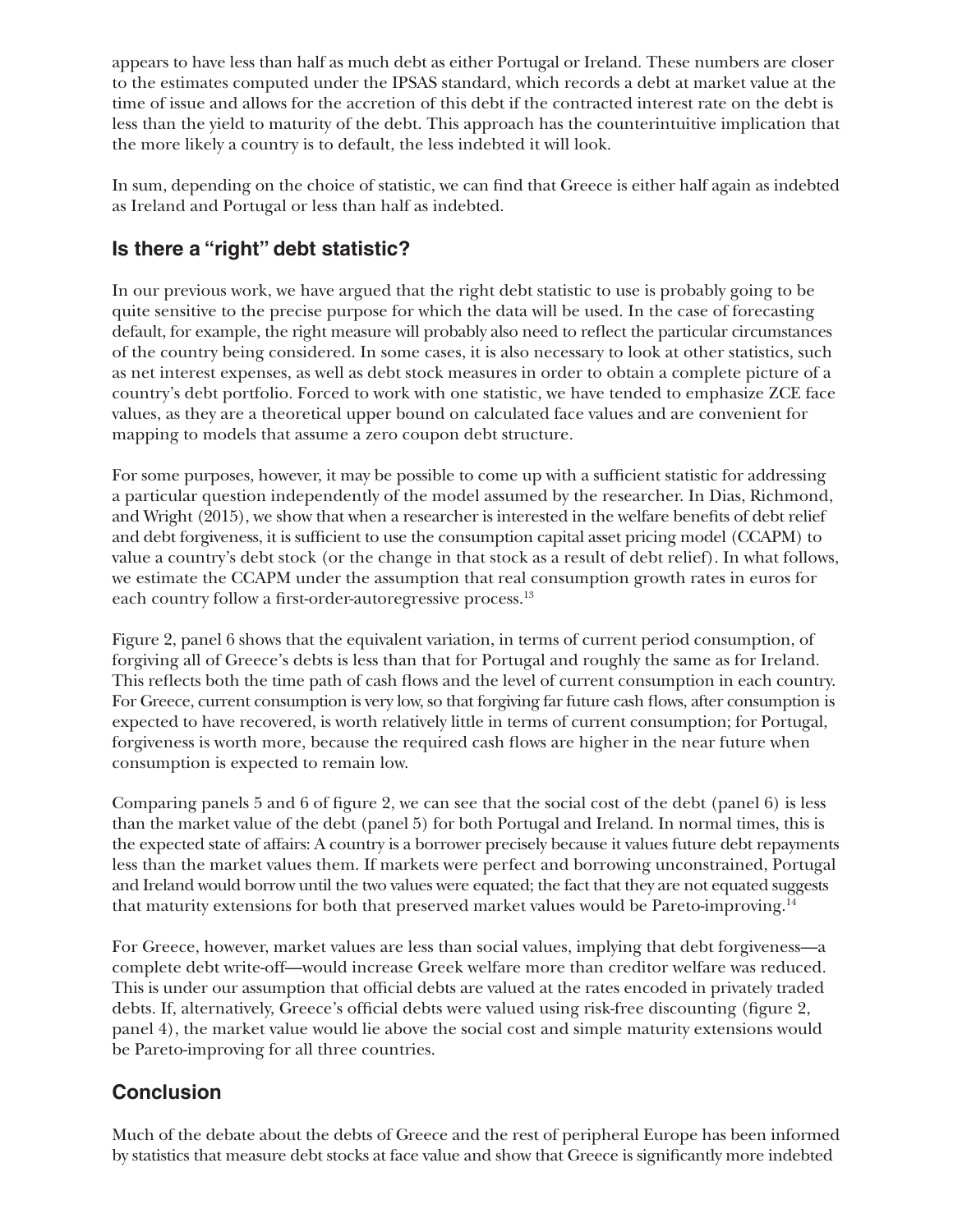appears to have less than half as much debt as either Portugal or Ireland. These numbers are closer to the estimates computed under the IPSAS standard, which records a debt at market value at the time of issue and allows for the accretion of this debt if the contracted interest rate on the debt is less than the yield to maturity of the debt. This approach has the counterintuitive implication that the more likely a country is to default, the less indebted it will look.

In sum, depending on the choice of statistic, we can find that Greece is either half again as indebted as Ireland and Portugal or less than half as indebted.

## **Is there a "right" debt statistic?**

In our previous work, we have argued that the right debt statistic to use is probably going to be quite sensitive to the precise purpose for which the data will be used. In the case of forecasting default, for example, the right measure will probably also need to reflect the particular circumstances of the country being considered. In some cases, it is also necessary to look at other statistics, such as net interest expenses, as well as debt stock measures in order to obtain a complete picture of a country's debt portfolio. Forced to work with one statistic, we have tended to emphasize ZCE face values, as they are a theoretical upper bound on calculated face values and are convenient for mapping to models that assume a zero coupon debt structure.

For some purposes, however, it may be possible to come up with a sufficient statistic for addressing a particular question independently of the model assumed by the researcher. In Dias, Richmond, and Wright (2015), we show that when a researcher is interested in the welfare benefits of debt relief and debt forgiveness, it is sufficient to use the consumption capital asset pricing model (CCAPM) to value a country's debt stock (or the change in that stock as a result of debt relief). In what follows, we estimate the CCAPM under the assumption that real consumption growth rates in euros for each country follow a first-order-autoregressive process.<sup>13</sup>

Figure 2, panel 6 shows that the equivalent variation, in terms of current period consumption, of forgiving all of Greece's debts is less than that for Portugal and roughly the same as for Ireland. This reflects both the time path of cash flows and the level of current consumption in each country. For Greece, current consumption is very low, so that forgiving far future cash flows, after consumption is expected to have recovered, is worth relatively little in terms of current consumption; for Portugal, forgiveness is worth more, because the required cash flows are higher in the near future when consumption is expected to remain low.

Comparing panels 5 and 6 of figure 2, we can see that the social cost of the debt (panel 6) is less than the market value of the debt (panel 5) for both Portugal and Ireland. In normal times, this is the expected state of affairs: A country is a borrower precisely because it values future debt repayments less than the market values them. If markets were perfect and borrowing unconstrained, Portugal and Ireland would borrow until the two values were equated; the fact that they are not equated suggests that maturity extensions for both that preserved market values would be Pareto-improving.14

For Greece, however, market values are less than social values, implying that debt forgiveness—a complete debt write-off—would increase Greek welfare more than creditor welfare was reduced. This is under our assumption that official debts are valued at the rates encoded in privately traded debts. If, alternatively, Greece's official debts were valued using risk-free discounting (figure 2, panel 4), the market value would lie above the social cost and simple maturity extensions would be Pareto-improving for all three countries.

## **Conclusion**

Much of the debate about the debts of Greece and the rest of peripheral Europe has been informed by statistics that measure debt stocks at face value and show that Greece is significantly more indebted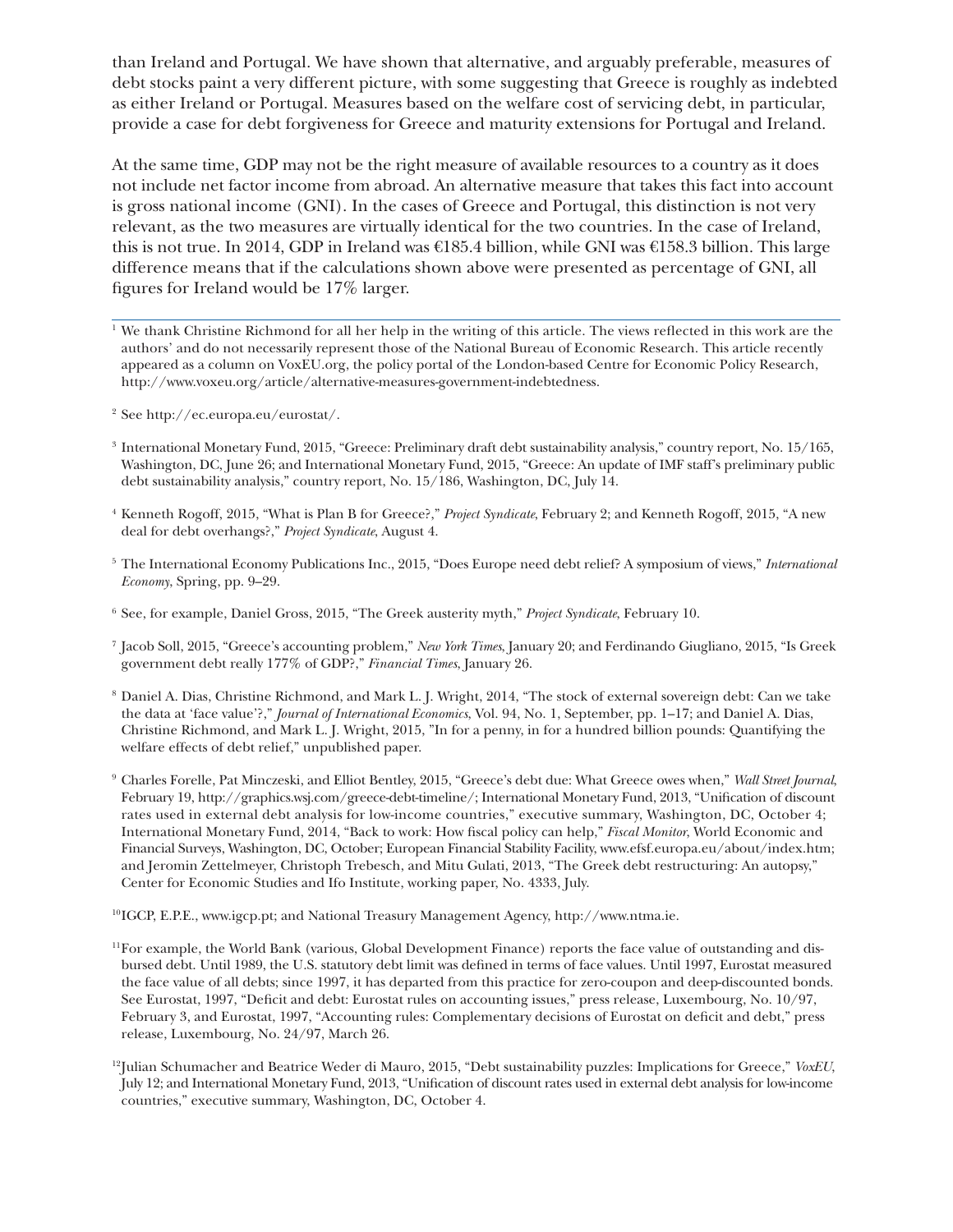than Ireland and Portugal. We have shown that alternative, and arguably preferable, measures of debt stocks paint a very different picture, with some suggesting that Greece is roughly as indebted as either Ireland or Portugal. Measures based on the welfare cost of servicing debt, in particular, provide a case for debt forgiveness for Greece and maturity extensions for Portugal and Ireland.

At the same time, GDP may not be the right measure of available resources to a country as it does not include net factor income from abroad. An alternative measure that takes this fact into account is gross national income (GNI). In the cases of Greece and Portugal, this distinction is not very relevant, as the two measures are virtually identical for the two countries. In the case of Ireland, this is not true. In 2014, GDP in Ireland was €185.4 billion, while GNI was €158.3 billion. This large difference means that if the calculations shown above were presented as percentage of GNI, all figures for Ireland would be 17% larger.

- <sup>2</sup> See http://ec.europa.eu/eurostat/.
- <sup>3</sup> International Monetary Fund, 2015, "Greece: Preliminary draft debt sustainability analysis," country report, No. 15/165, Washington, DC, June 26; and International Monetary Fund, 2015, "Greece: An update of IMF staff's preliminary public debt sustainability analysis," country report, No. 15/186, Washington, DC, July 14.
- <sup>4</sup> Kenneth Rogoff, 2015, "What is Plan B for Greece?," *Project Syndicate*, February 2; and Kenneth Rogoff, 2015, "A new deal for debt overhangs?," *Project Syndicate*, August 4.
- <sup>5</sup> The International Economy Publications Inc., 2015, "Does Europe need debt relief? A symposium of views," *International Economy*, Spring, pp. 9–29.
- <sup>6</sup> See, for example, Daniel Gross, 2015, "The Greek austerity myth," *Project Syndicate*, February 10.
- <sup>7</sup> Jacob Soll, 2015, "Greece's accounting problem," *New York Times*, January 20; and Ferdinando Giugliano, 2015, "Is Greek government debt really 177% of GDP?," *Financial Times*, January 26.
- <sup>8</sup> Daniel A. Dias, Christine Richmond, and Mark L. J. Wright, 2014, "The stock of external sovereign debt: Can we take the data at 'face value'?," *Journal of International Economics*, Vol. 94, No. 1, September, pp. 1–17; and Daniel A. Dias, Christine Richmond, and Mark L. J. Wright, 2015, "In for a penny, in for a hundred billion pounds: Quantifying the welfare effects of debt relief," unpublished paper.
- <sup>9</sup> Charles Forelle, Pat Minczeski, and Elliot Bentley, 2015, "Greece's debt due: What Greece owes when," *Wall Street Journal*, February 19,<http://graphics.wsj.com/greece-debt-timeline/>; International Monetary Fund, 2013, "Unification of discount rates used in external debt analysis for low-income countries," executive summary, Washington, DC, October 4; International Monetary Fund, 2014, "Back to work: How fiscal policy can help," *Fiscal Monitor*, World Economic and Financial Surveys, Washington, DC, October; European Financial Stability Facility, <www.efsf.europa.eu/about/index.htm>; and Jeromin Zettelmeyer, Christoph Trebesch, and Mitu Gulati, 2013, "The Greek debt restructuring: An autopsy," Center for Economic Studies and Ifo Institute, working paper, No. 4333, July.
- 10IGCP, E.P.E., [www.igcp.pt;](www.igcp.pt) and National Treasury Management Agency,<http://www.ntma.ie>.
- [11For example, the World Bank \(various, Global Development Finance\) reports the face value of outstanding and dis](http://ec.europa.eu/eurostat/)bursed debt. Until 1989, the U.S. statutory debt limit was defined in terms of face values. Until 1997, Eurostat measured the face value of all debts; since 1997, it has departed from this practice for zero-coupon and deep-discounted bonds. See Eurostat, 1997, "Deficit and debt: Eurostat rules on accounting issues," press release, Luxembourg, No. 10/97, February 3, and Eurostat, 1997, "Accounting rules: Complementary decisions of Eurostat on deficit and debt," press release, Luxembourg, No. 24/97, March 26.
- 12Julian Schumacher and Beatrice Weder di Mauro, 2015, "Debt sustainability puzzles: Implications for Greece," *VoxEU*, July 12; and International Monetary Fund, 2013, "Unification of discount rates used in external debt analysis for low-income countries," executive summary, Washington, DC, October 4.

 $1$ <sup>We</sup> thank Christine Richmond for all her help in the writing of this article. The views reflected in this work are the authors' and do not necessarily represent those of the National Bureau of Economic Research. This article recently appeared as a column on VoxEU.org, the policy portal of the London-based Centre for Economic Policy Research, <http://www.voxeu.org/article/alternative-measures-government-indebtedness>.